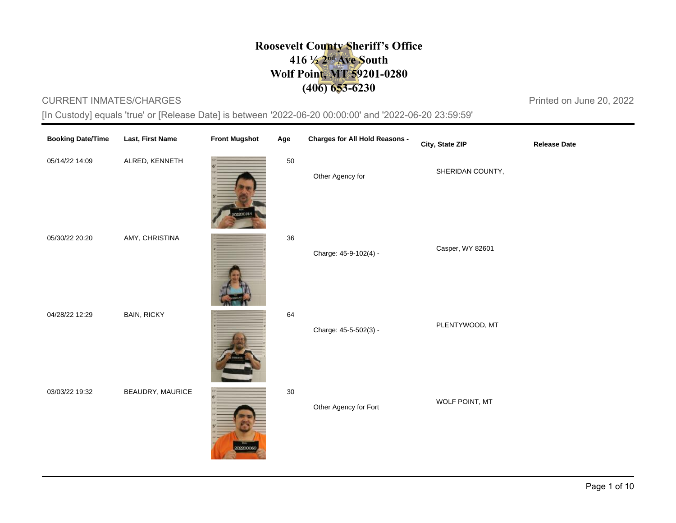## **Roosevelt County Sheriff's Office**  $416\frac{1}{2}$ <sup>nd</sup> Ave South Wolf Point, MT 59201-0280  $(406)$  653-6230

## CURRENT INMATES/CHARGES **Printed on June 20, 2022**

[In Custody] equals 'true' or [Release Date] is between '2022-06-20 00:00:00' and '2022-06-20 23:59:59'

| <b>Booking Date/Time</b> | Last, First Name   | <b>Front Mugshot</b> | Age    | <b>Charges for All Hold Reasons -</b> | City, State ZIP  | <b>Release Date</b> |
|--------------------------|--------------------|----------------------|--------|---------------------------------------|------------------|---------------------|
| 05/14/22 14:09           | ALRED, KENNETH     | 20014                | 50     | Other Agency for                      | SHERIDAN COUNTY, |                     |
| 05/30/22 20:20           | AMY, CHRISTINA     |                      | 36     | Charge: 45-9-102(4) -                 | Casper, WY 82601 |                     |
| 04/28/22 12:29           | <b>BAIN, RICKY</b> |                      | 64     | Charge: 45-5-502(3) -                 | PLENTYWOOD, MT   |                     |
| 03/03/22 19:32           | BEAUDRY, MAURICE   | 02200060             | $30\,$ | Other Agency for Fort                 | WOLF POINT, MT   |                     |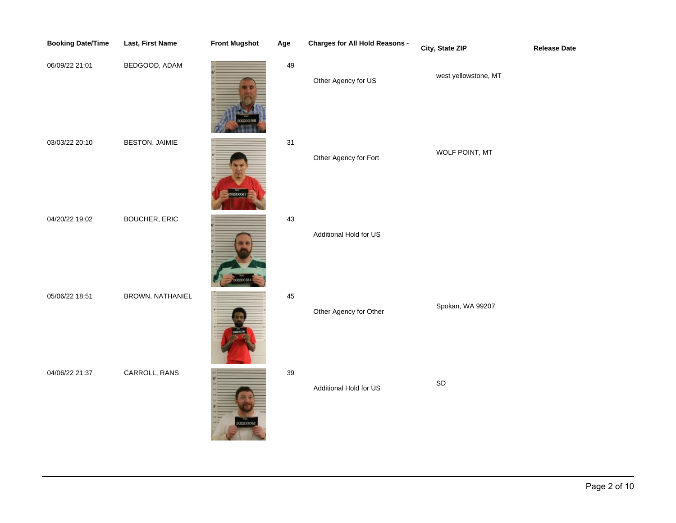| <b>Booking Date/Time</b> | Last, First Name      | <b>Front Mugshot</b> | Age | <b>Charges for All Hold Reasons -</b> | City, State ZIP      | <b>Release Date</b> |
|--------------------------|-----------------------|----------------------|-----|---------------------------------------|----------------------|---------------------|
| 06/09/22 21:01           | BEDGOOD, ADAM         |                      | 49  | Other Agency for US                   | west yellowstone, MT |                     |
| 03/03/22 20:10           | <b>BESTON, JAIMIE</b> | 200006               | 31  | Other Agency for Fort                 | WOLF POINT, MT       |                     |
| 04/20/22 19:02           | <b>BOUCHER, ERIC</b>  |                      | 43  | Additional Hold for US                |                      |                     |
| 05/06/22 18:51           | BROWN, NATHANIEL      |                      | 45  | Other Agency for Other                | Spokan, WA 99207     |                     |
| 04/06/22 21:37           | CARROLL, RANS         |                      | 39  | Additional Hold for US                | $\mathsf{SD}$        |                     |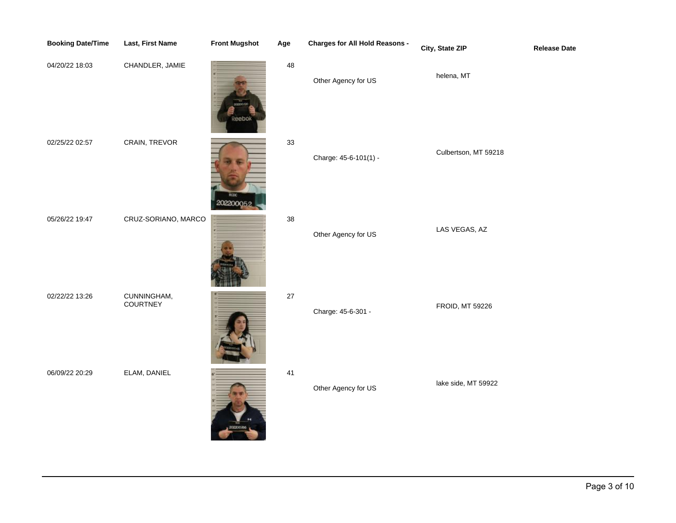| <b>Booking Date/Time</b> | Last, First Name        | <b>Front Mugshot</b> | Age      | <b>Charges for All Hold Reasons -</b> | City, State ZIP        | <b>Release Date</b> |
|--------------------------|-------------------------|----------------------|----------|---------------------------------------|------------------------|---------------------|
| 04/20/22 18:03           | CHANDLER, JAMIE         |                      | $\bf 48$ | Other Agency for US                   | helena, MT             |                     |
| 02/25/22 02:57           | CRAIN, TREVOR           | 20220005             | 33       | Charge: 45-6-101(1) -                 | Culbertson, MT 59218   |                     |
| 05/26/22 19:47           | CRUZ-SORIANO, MARCO     |                      | 38       | Other Agency for US                   | LAS VEGAS, AZ          |                     |
| 02/22/22 13:26           | CUNNINGHAM,<br>COURTNEY |                      | $27\,$   | Charge: 45-6-301 -                    | <b>FROID, MT 59226</b> |                     |
| 06/09/22 20:29           | ELAM, DANIEL            |                      | 41       | Other Agency for US                   | lake side, MT 59922    |                     |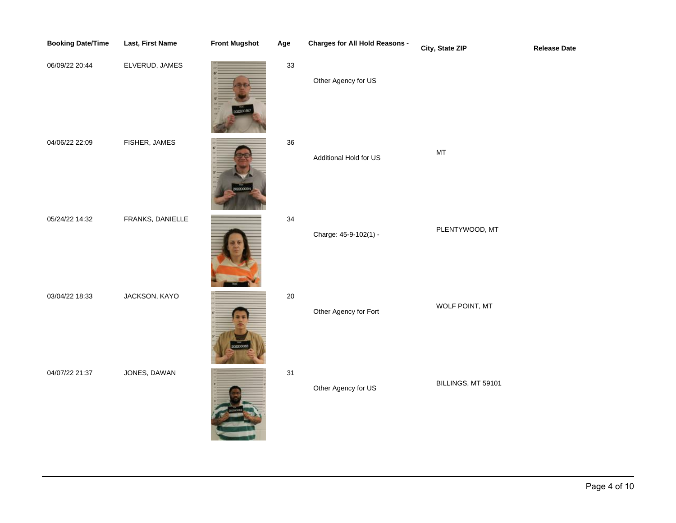| <b>Booking Date/Time</b> | Last, First Name | <b>Front Mugshot</b> | Age | <b>Charges for All Hold Reasons -</b> | City, State ZIP                                         | <b>Release Date</b> |
|--------------------------|------------------|----------------------|-----|---------------------------------------|---------------------------------------------------------|---------------------|
| 06/09/22 20:44           | ELVERUD, JAMES   |                      | 33  | Other Agency for US                   |                                                         |                     |
| 04/06/22 22:09           | FISHER, JAMES    |                      | 36  | Additional Hold for US                | $\mathsf{MT}% _{T}=\mathsf{MT}_{T}\left( T\right) ,$ MT |                     |
| 05/24/22 14:32           | FRANKS, DANIELLE |                      | 34  | Charge: 45-9-102(1) -                 | PLENTYWOOD, MT                                          |                     |
| 03/04/22 18:33           | JACKSON, KAYO    |                      | 20  | Other Agency for Fort                 | WOLF POINT, MT                                          |                     |
| 04/07/22 21:37           | JONES, DAWAN     |                      | 31  | Other Agency for US                   | BILLINGS, MT 59101                                      |                     |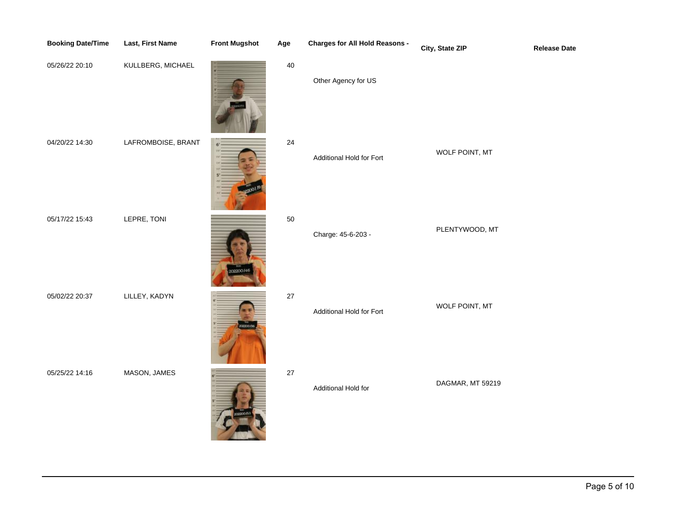| <b>Booking Date/Time</b> | Last, First Name   | <b>Front Mugshot</b> | Age    | <b>Charges for All Hold Reasons -</b> | City, State ZIP  | <b>Release Date</b> |
|--------------------------|--------------------|----------------------|--------|---------------------------------------|------------------|---------------------|
| 05/26/22 20:10           | KULLBERG, MICHAEL  |                      | $40\,$ | Other Agency for US                   |                  |                     |
| 04/20/22 14:30           | LAFROMBOISE, BRANT |                      | 24     | Additional Hold for Fort              | WOLF POINT, MT   |                     |
| 05/17/22 15:43           | LEPRE, TONI        |                      | 50     | Charge: 45-6-203 -                    | PLENTYWOOD, MT   |                     |
| 05/02/22 20:37           | LILLEY, KADYN      | <b>ROOD</b>          | $27\,$ | Additional Hold for Fort              | WOLF POINT, MT   |                     |
| 05/25/22 14:16           | MASON, JAMES       |                      | $27\,$ | Additional Hold for                   | DAGMAR, MT 59219 |                     |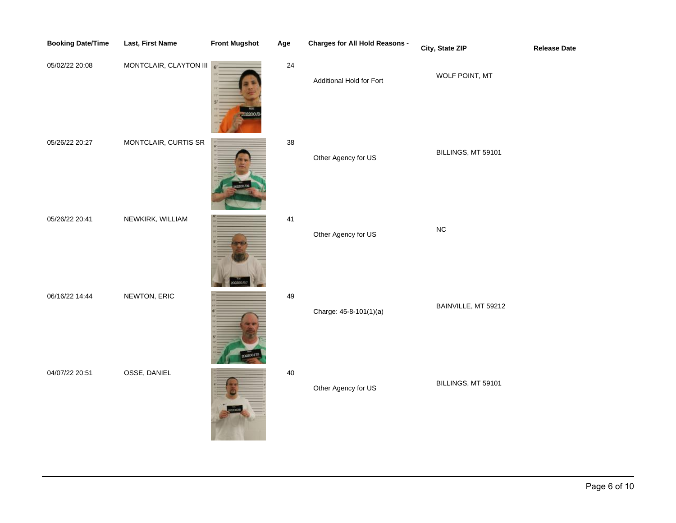| <b>Booking Date/Time</b> | Last, First Name       | <b>Front Mugshot</b> | Age | <b>Charges for All Hold Reasons -</b> | City, State ZIP     | <b>Release Date</b> |
|--------------------------|------------------------|----------------------|-----|---------------------------------------|---------------------|---------------------|
| 05/02/22 20:08           | MONTCLAIR, CLAYTON III | $6+$                 | 24  | Additional Hold for Fort              | WOLF POINT, MT      |                     |
| 05/26/22 20:27           | MONTCLAIR, CURTIS SR   |                      | 38  | Other Agency for US                   | BILLINGS, MT 59101  |                     |
| 05/26/22 20:41           | NEWKIRK, WILLIAM       |                      | 41  | Other Agency for US                   | ${\sf NC}$          |                     |
| 06/16/22 14:44           | NEWTON, ERIC           |                      | 49  | Charge: 45-8-101(1)(a)                | BAINVILLE, MT 59212 |                     |
| 04/07/22 20:51           | OSSE, DANIEL           |                      | 40  | Other Agency for US                   | BILLINGS, MT 59101  |                     |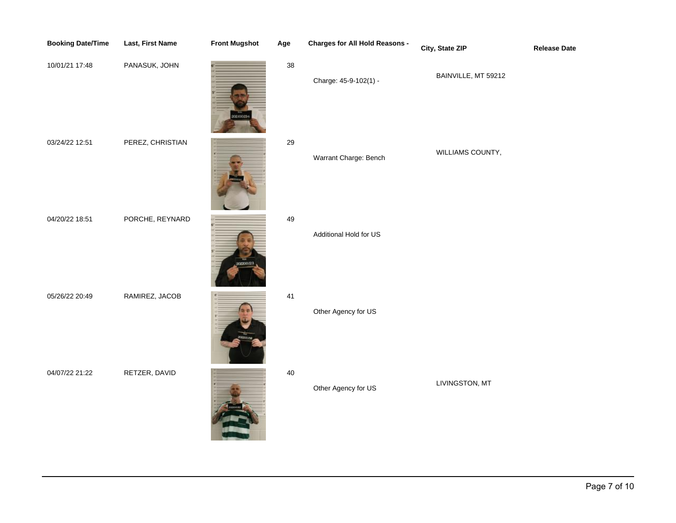| <b>Booking Date/Time</b> | <b>Last, First Name</b> | <b>Front Mugshot</b> | Age    | <b>Charges for All Hold Reasons -</b> | City, State ZIP     | <b>Release Date</b> |
|--------------------------|-------------------------|----------------------|--------|---------------------------------------|---------------------|---------------------|
| 10/01/21 17:48           | PANASUK, JOHN           | 102700234            | $38\,$ | Charge: 45-9-102(1) -                 | BAINVILLE, MT 59212 |                     |
| 03/24/22 12:51           | PEREZ, CHRISTIAN        |                      | 29     | Warrant Charge: Bench                 | WILLIAMS COUNTY,    |                     |
| 04/20/22 18:51           | PORCHE, REYNARD         |                      | 49     | Additional Hold for US                |                     |                     |
| 05/26/22 20:49           | RAMIREZ, JACOB          |                      | 41     | Other Agency for US                   |                     |                     |
| 04/07/22 21:22           | RETZER, DAVID           |                      | 40     | Other Agency for US                   | LIVINGSTON, MT      |                     |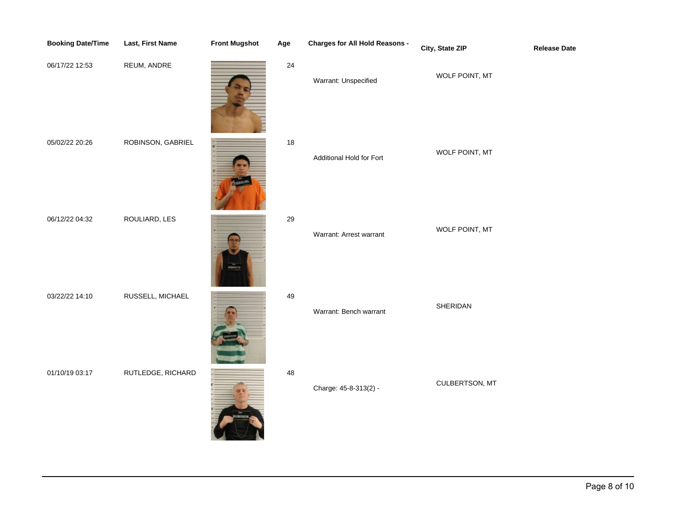| <b>Booking Date/Time</b> | Last, First Name  | <b>Front Mugshot</b> | Age  | <b>Charges for All Hold Reasons -</b> | City, State ZIP | <b>Release Date</b> |
|--------------------------|-------------------|----------------------|------|---------------------------------------|-----------------|---------------------|
| 06/17/22 12:53           | REUM, ANDRE       |                      | 24   | Warrant: Unspecified                  | WOLF POINT, MT  |                     |
| 05/02/22 20:26           | ROBINSON, GABRIEL |                      | $18$ | Additional Hold for Fort              | WOLF POINT, MT  |                     |
| 06/12/22 04:32           | ROULIARD, LES     | <b>cascion</b>       | 29   | Warrant: Arrest warrant               | WOLF POINT, MT  |                     |
| 03/22/22 14:10           | RUSSELL, MICHAEL  |                      | 49   | Warrant: Bench warrant                | SHERIDAN        |                     |
| 01/10/19 03:17           | RUTLEDGE, RICHARD |                      | 48   | Charge: 45-8-313(2) -                 | CULBERTSON, MT  |                     |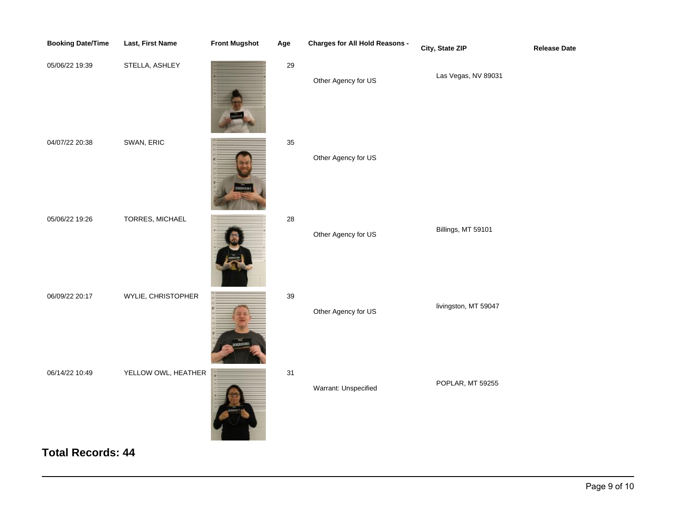| <b>Booking Date/Time</b> | Last, First Name    | <b>Front Mugshot</b> | Age    | <b>Charges for All Hold Reasons -</b> | City, State ZIP      | <b>Release Date</b> |
|--------------------------|---------------------|----------------------|--------|---------------------------------------|----------------------|---------------------|
| 05/06/22 19:39           | STELLA, ASHLEY      |                      | $29\,$ | Other Agency for US                   | Las Vegas, NV 89031  |                     |
| 04/07/22 20:38           | SWAN, ERIC          |                      | 35     | Other Agency for US                   |                      |                     |
| 05/06/22 19:26           | TORRES, MICHAEL     |                      | 28     | Other Agency for US                   | Billings, MT 59101   |                     |
| 06/09/22 20:17           | WYLIE, CHRISTOPHER  |                      | 39     | Other Agency for US                   | livingston, MT 59047 |                     |
| 06/14/22 10:49           | YELLOW OWL, HEATHER |                      | 31     | Warrant: Unspecified                  | POPLAR, MT 59255     |                     |

**Total Records: 44**